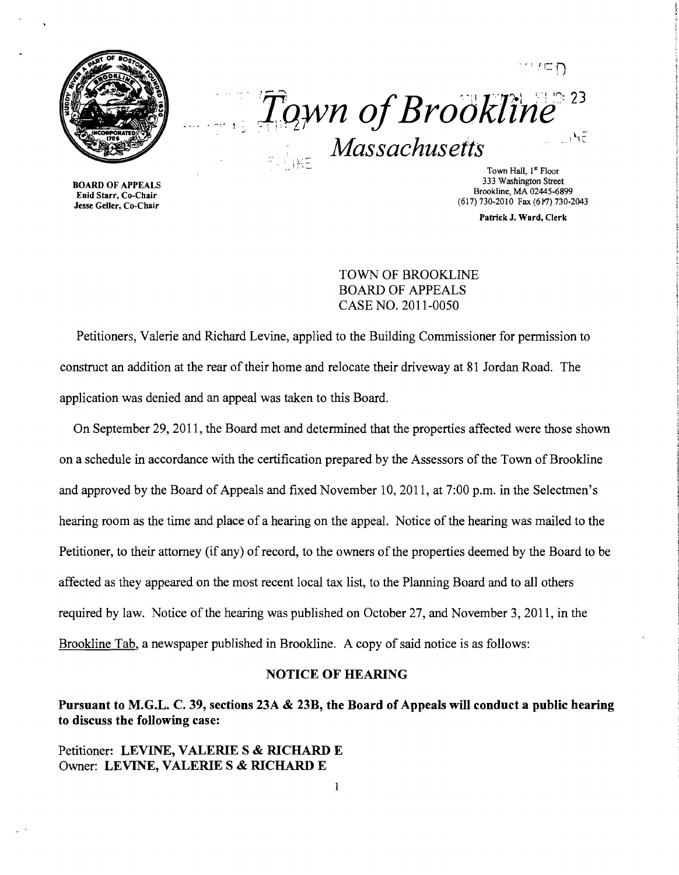

 $\cdots$ ,  $\Box$ *J:qWn ofBrookltrif/' 23* ...... " *Massachusetts* 

BOARD OF APPEALS Enid Starr, Co-Chair Jesse Geller, Co-Chair **i**  $\sim$  **Town Hall, 1<sup>st</sup> Floor** Town Hall, 1st Floor 333 Washington Street Brookline, MA 02445-6899 (617) 730-2010 Fax (617) 730-2043

Patrick J. Ward, Clerk

TOWN OF BROOKLINE BOARD OF APPEALS CASE NO. 2011-0050

Petitioners, Valerie and Richard Levine, applied to the Building Commissioner for pennission to construct an addition at the rear of their home and relocate their driveway at 81 Jordan Road. The application was denied and an appeal was taken to this Board.

On September 29, 2011, the Board met and detennined that the properties affected were those shown on a schedule in accordance with the certification prepared by the Assessors of the Town of Brookline and approved by the Board of Appeals and fixed November 10, 2011, at 7:00 p.m. in the Selectmen's hearing room as the time and place of a hearing on the appeal. Notice of the hearing was mailed to the Petitioner, to their attorney (if any) of record, to the owners of the properties deemed by the Board to be affected as they appeared on the most recent local tax list, to the Planning Board and to all others required by law. Notice of the hearing was published on October 27, and November 3, 2011, in the Brookline Tab, a newspaper published in Brookline. A copy of said notice is as follows:

## NOTICE OF HEARING

Pursuant to M.G.L. C. 39, sections 23A & 23B, the Board of Appeals will conduct a public hearing to discuss the following case:

## Petitioner: LEVINE, VALERIE S & RICHARD E Owner: LEVINE, VALERIE S & RICHARD E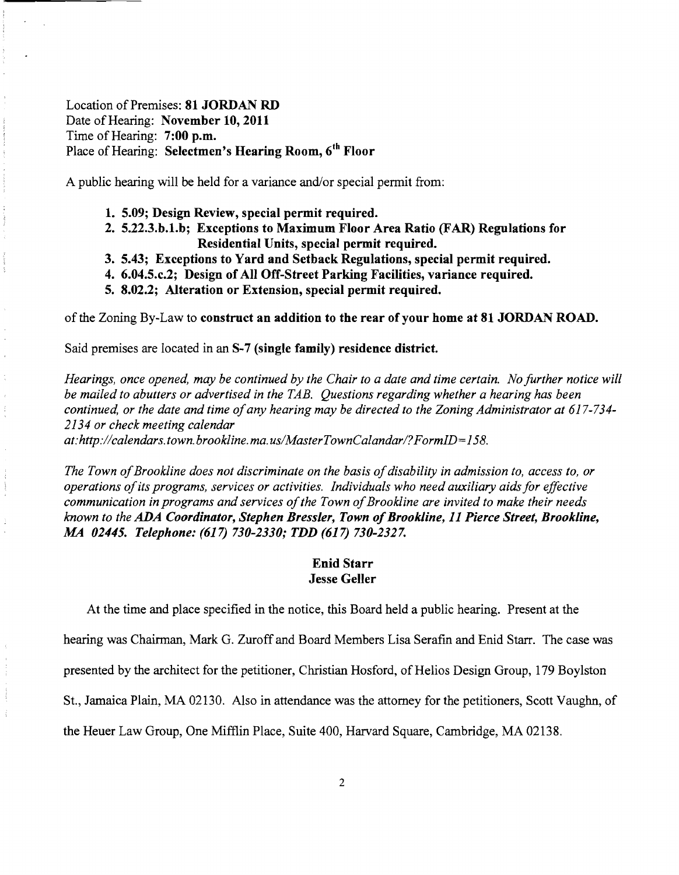Location of Premises: **81 JORDAN RD** Date of Hearing: **November 10, 2011**  Time of Hearing: **7:00 p.m.**  Place of Hearing: **Selectmen's Hearing Room, 6th Floor** 

A public hearing will be held for a variance and/or special permit from:

- **1. 5.09; Design Review, special permit required.**
- **2. 5.22.3.b.1.b; Exceptions to Maximum Floor Area Ratio (FAR) Regulations for Residential Units, special permit required.**
- **3. 5.43; Exceptions to Yard and Setback Regulations, special permit required.**
- **4. 6.04.5.c.2; Design of All Off-Street Parking Facilities, variance required.**
- **5. 8.02.2; Alteration or Extension, special permit required.**

of the Zoning By-Law to **construct an addition to the rear** of your **home at 81 JORDAN ROAD.** 

Said premises are located in an **S-7 (single family) residence district.** 

*Hearings, once opened, may be continued by the Chair to a date and time certain. No further notice will be mailed to abutters or advertised in the TAB. Questions regarding whether a hearing has been continued, or the date and time ofany hearing may be directed to the Zoning Administrator at 617-734 2134 or check meeting calendar* 

*at:http://calendars. town. brookline. ma. uslMasterTownCalandarI?FormID=158.* 

The Town of Brookline does not discriminate on the basis of disability in admission to, access to, or *operations ofits programs, services or activities. Individuals who need auxiliary aids for effective*  communication in programs and services of the Town of Brookline are invited to make their needs *known to the ADA Coordinator, Stephen Bressler, Town ofBrookline,* **11** *Pierce Street, Brookline, MA 02445. Telephone:* **(617)** *730-2330; TDD* **(617)** *730-2327.* 

## **Enid Starr Jesse Geller**

At the time and place specified in the notice, this Board held a public hearing. Present at the

hearing was Chairman, Mark G. Zuroff and Board Members Lisa Serafin and Enid Starr. The case was

presented by the architect for the petitioner, Christian Hosford, of Helios Design Group, 179 Boylston

St., Jamaica Plain, MA 02130. Also in attendance was the attorney for the petitioners, Scott Vaughn, of

the Heuer Law Group, One Mifflin Place, Suite 400, Harvard Square, Cambridge, MA 02138.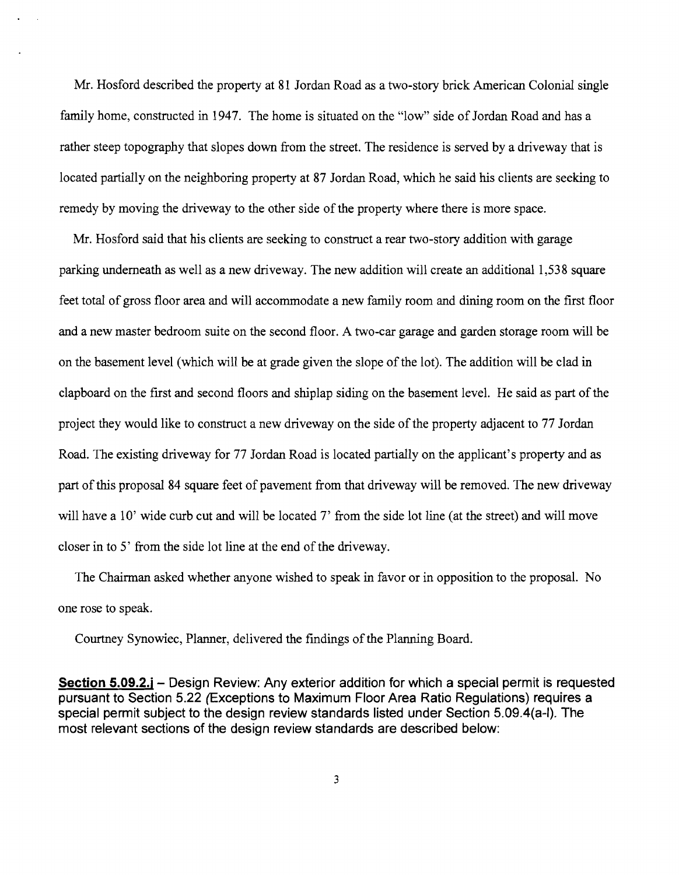Mr. Hosford described the property at 81 Jordan Road as a two-story brick American Colonial single family home, constructed in 1947. The home is situated on the "low" side of Jordan Road and has a rather steep topography that slopes down from the street. The residence is served by a driveway that is located partially on the neighboring property at 87 Jordan Road, which he said his clients are seeking to remedy by moving the driveway to the other side of the property where there is more space.

Mr. Hosford said that his clients are seeking to construct a rear two-story addition with garage parking underneath as well as a new driveway. The new addition will create an additional 1,538 square feet total of gross floor area and will accommodate a new family room and dining room on the first floor and a new master bedroom suite on the second floor. A two-car garage and garden storage room will be on the basement level (which will be at grade given the slope of the lot). The addition will be clad in clapboard on the first and second floors and shiplap siding on the basement level. He said as part of the project they would like to construct a new driveway on the side of the property adjacent to 77 Jordan Road. The existing driveway for 77 Jordan Road is located partially on the applicant's property and as part of this proposal 84 square feet of pavement from that driveway will be removed. The new driveway will have a 10' wide curb cut and will be located 7' from the side lot line (at the street) and will move closer in to 5' from the side lot line at the end of the driveway.

The Chairman asked whether anyone wished to speak in favor or in opposition to the proposal. No one rose to speak.

Courtney Synowiec, Planner, delivered the findings of the Planning Board.

**Section 5.09.2.j** – Design Review: Any exterior addition for which a special permit is requested pursuant to Section 5.22 (Exceptions to Maximum Floor Area Ratio Regulations) requires a special permit subject to the design review standards listed under Section 5.09.4(a-l). The most relevant sections of the design review standards are described below: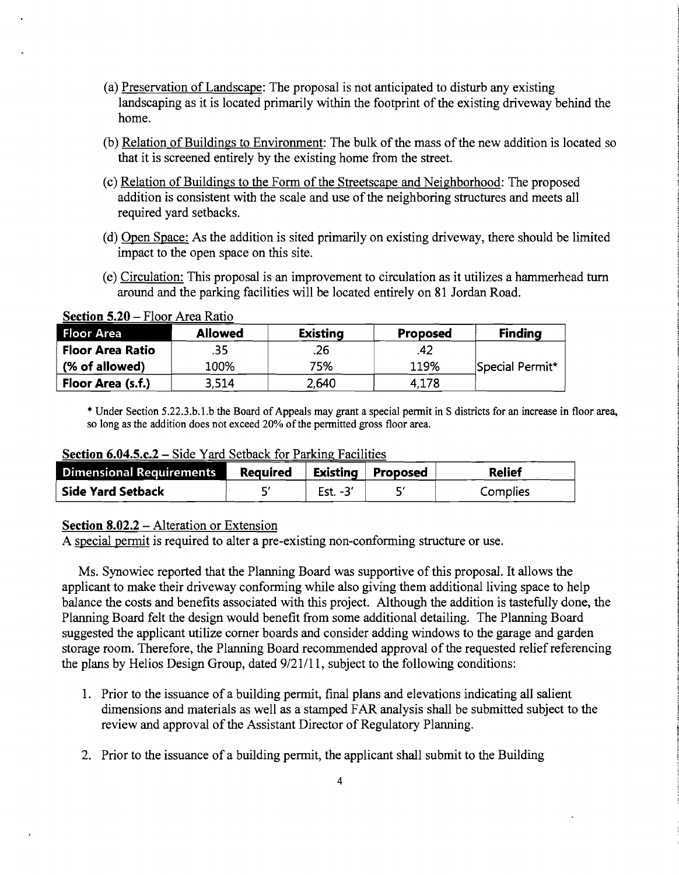- (a) Preservation ofLandscape: The proposal is not anticipated to disturb any existing landscaping as it is located primarily within the footprint of the existing driveway behind the home.
- (b) Relation of Buildings to Environment: The bulk of the mass of the new addition is located so that it is screened entirely by the existing home from the street.
- (c) Relation of Buildings to the Form of the Streetscape and Neighborhood: The proposed addition is consistent with the scale and use of the neighboring structures and meets all required yard setbacks.
- (d) Open Space: As the addition is sited primarily on existing driveway, there should be limited impact to the open space on this site.
- (e) Circulation: This proposal is an improvement to circulation as it utilizes a hammerhead turn around and the parking facilities will be located entirely on 81 Jordan Road.

| Floor Area              | <b>Allowed</b> | <b>Existing</b> | <b>Proposed</b> | <b>Finding</b>  |
|-------------------------|----------------|-----------------|-----------------|-----------------|
| <b>Floor Area Ratio</b> | .35            | .26             | .42             |                 |
| (% of allowed)          | 100%           | 75%             | 119%            | Special Permit* |
| Floor Area (s.f.)       | 3,514          | 2,640           | 4.178           |                 |

**Section 5.20 – Floor Area Ratio** 

\* Under Section 5.22.3.b.l.b the Board of Appeals may grant a special pennit in S districts for an increase in floor area. so long as the addition does not exceed 20% of the permitted gross floor area.

**Section 6.04.5.c.2 –** Side Yard Setback for Parking Facilities

| <b>Dimensional Requirements</b> | <b>Required</b> |            | Existing Proposed | <b>Relief</b> |
|---------------------------------|-----------------|------------|-------------------|---------------|
| <b>Side Yard Setback</b>        |                 | Est. $-3'$ |                   | Complies      |

## **Section 8.02.2 – Alteration or Extension**

A special permit is required to alter a pre-existing non-conforming structure or use.

Ms. Synowiec reported that the Planning Board was supportive of this proposal. It allows the applicant to make their driveway conforming while also giving them additional living space to help balance the costs and benefits associated with this project. Although the addition is tastefully done, the Plarming Board felt the design would benefit from some additional detailing. The Planning Board suggested the applicant utilize comer boards and consider adding windows to the garage and garden storage room. Therefore, the Planning Board recommended approval of the requested relief referencing the plans by Helios Design Group, dated 9/21/11, subject to the following conditions:

- 1. Prior to the issuance of a building permit, final plans and elevations indicating all salient dimensions and materials as well as a stamped FAR analysis shall be submitted subject to the review and approval of the Assistant Director of Regulatory Planning.
- 2. Prior to the issuance of a building permit, the applicant shall submit to the Building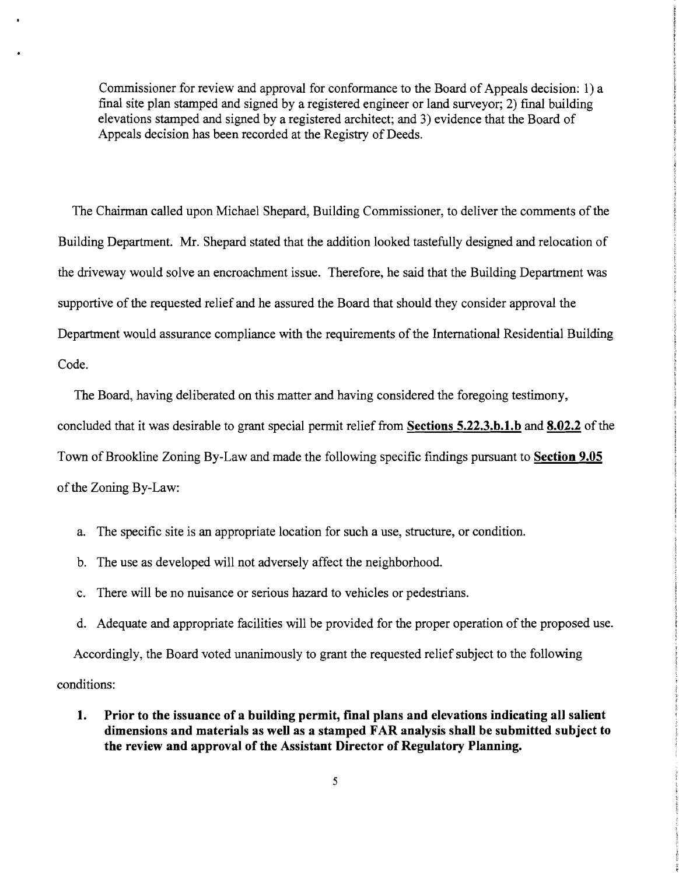Commissioner for review and approval for conformance to the Board of Appeals decision: 1) a final site plan stamped and signed by a registered engineer or land surveyor; 2) fmal building elevations stamped and signed by a registered architect; and 3) evidence that the Board of Appeals decision has been recorded at the Registry of Deeds.

The Chairman called upon Michael Shepard, Building Commissioner, to deliver the comments of the Building Department. Mr. Shepard stated that the addition looked tastefully designed and relocation of the driveway would solve an encroachment issue. Therefore, he said that the Building Department was supportive of the requested relief and he assured the Board that should they consider approval the Department would assurance compliance with the requirements of the International Residential Building Code.

The Board, having deliberated on this matter and having considered the foregoing testimony, concluded that it was desirable to grant special permit relief from **Sections 5.22.3.b.1.b** and 8.02.2 of the Town of Brookline Zoning By-Law and made the following specific fmdings pursuant to **Section 9.05**  of the Zoning By-Law:

- a. The specific site is an appropriate location for such a use, structure, or condition.
- b. The use as developed will not adversely affect the neighborhood.
- c. There will be no nuisance or serious hazard to vehicles or pedestrians.
- d. Adequate and appropriate facilities will be provided for the proper operation of the proposed use.

Accordingly, the Board voted unanimously to grant the requested relief subject to the following conditions:

**1. Prior to the issuance of a building permit, final plans and elevations indicating all salient dimensions and materials as well as a stamped FAR analysis shall be submitted subject to the review and approval of the Assistant Director of Regulatory Planning.**